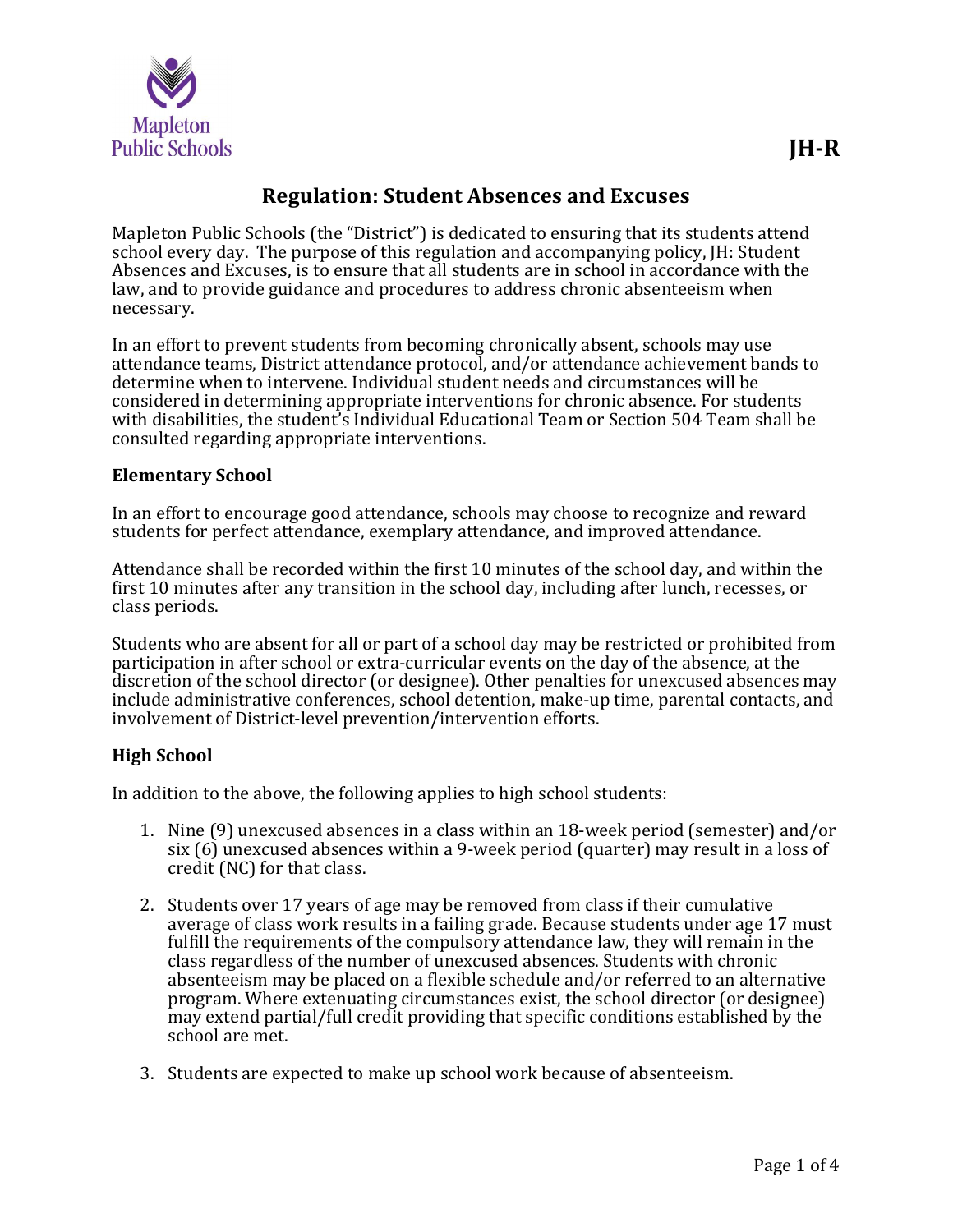

# Regulation: Student Absences and Excuses

Mapleton Public Schools (the "District") is dedicated to ensuring that its students attend school every day. The purpose of this regulation and accompanying policy, JH: Student Absences and Excuses, is to ensure that all students are in school in accordance with the law, and to provide guidance and procedures to address chronic absenteeism when necessary.

In an effort to prevent students from becoming chronically absent, schools may use attendance teams, District attendance protocol, and/or attendance achievement bands to determine when to intervene. Individual student needs and circumstances will be considered in determining appropriate interventions for chronic absence. For students with disabilities, the student's Individual Educational Team or Section 504 Team shall be consulted regarding appropriate interventions.

#### Elementary School

In an effort to encourage good attendance, schools may choose to recognize and reward students for perfect attendance, exemplary attendance, and improved attendance.

Attendance shall be recorded within the first 10 minutes of the school day, and within the first 10 minutes after any transition in the school day, including after lunch, recesses, or class periods.

Students who are absent for all or part of a school day may be restricted or prohibited from participation in after school or extra-curricular events on the day of the absence, at the discretion of the school director (or designee). Other penalties for unexcused absences may include administrative conferences, school detention, make-up time, parental contacts, and involvement of District-level prevention/intervention efforts.

#### High School

In addition to the above, the following applies to high school students:

- 1. Nine (9) unexcused absences in a class within an 18-week period (semester) and/or six (6) unexcused absences within a 9-week period (quarter) may result in a loss of credit (NC) for that class.
- 2. Students over 17 years of age may be removed from class if their cumulative average of class work results in a failing grade. Because students under age 17 must fulfill the requirements of the compulsory attendance law, they will remain in the class regardless of the number of unexcused absences. Students with chronic absenteeism may be placed on a flexible schedule and/or referred to an alternative program. Where extenuating circumstances exist, the school director (or designee) may extend partial/full credit providing that specific conditions established by the school are met.
- 3. Students are expected to make up school work because of absenteeism.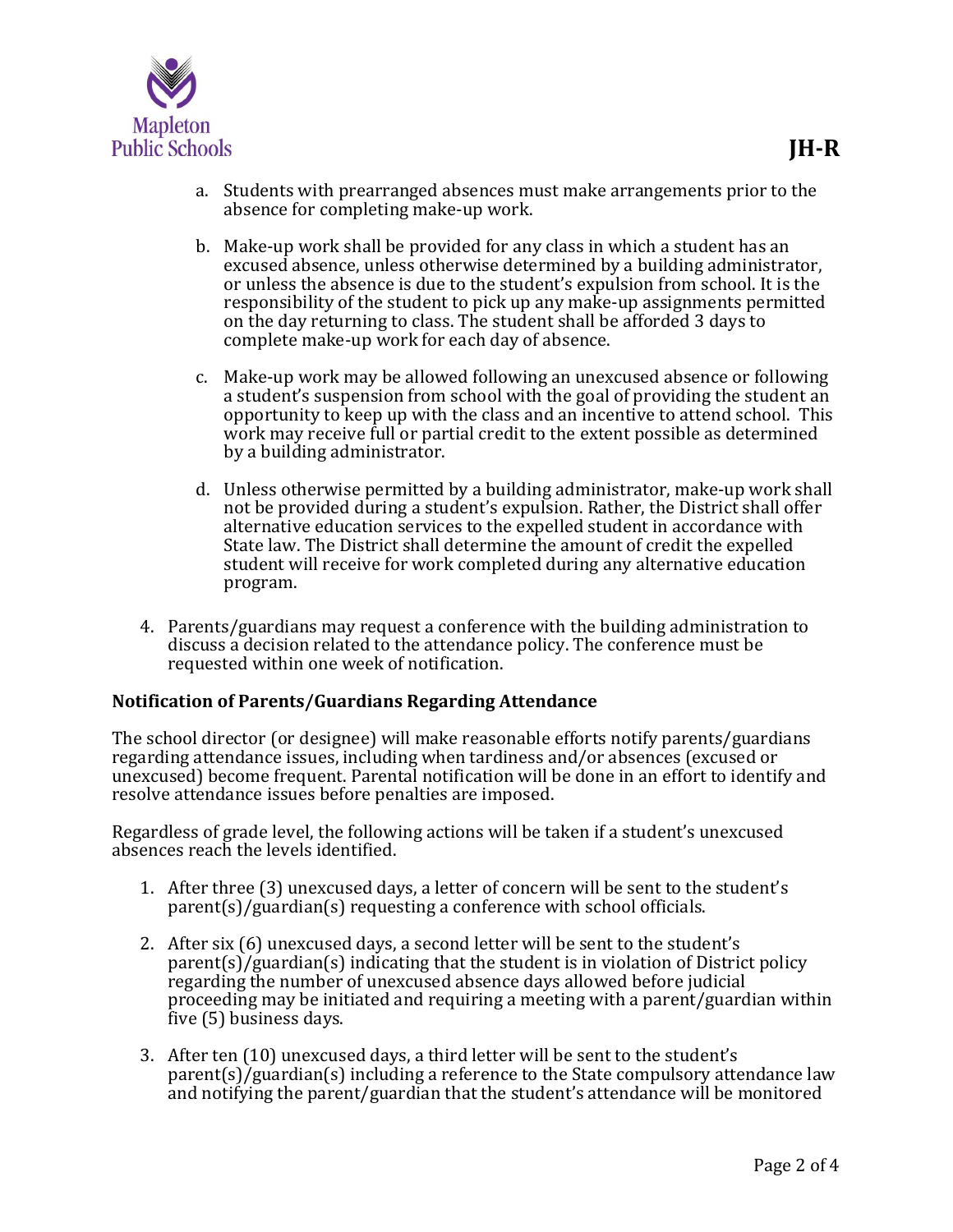

- a. Students with prearranged absences must make arrangements prior to the absence for completing make-up work.
- b. Make-up work shall be provided for any class in which a student has an excused absence, unless otherwise determined by a building administrator, or unless the absence is due to the student's expulsion from school. It is the responsibility of the student to pick up any make-up assignments permitted on the day returning to class. The student shall be afforded 3 days to complete make-up work for each day of absence.
- c. Make-up work may be allowed following an unexcused absence or following a student's suspension from school with the goal of providing the student an opportunity to keep up with the class and an incentive to attend school. This work may receive full or partial credit to the extent possible as determined by a building administrator.
- d. Unless otherwise permitted by a building administrator, make-up work shall not be provided during a student's expulsion. Rather, the District shall offer alternative education services to the expelled student in accordance with State law. The District shall determine the amount of credit the expelled student will receive for work completed during any alternative education program.
- 4. Parents/guardians may request a conference with the building administration to discuss a decision related to the attendance policy. The conference must be requested within one week of notification.

#### Notification of Parents/Guardians Regarding Attendance

The school director (or designee) will make reasonable efforts notify parents/guardians regarding attendance issues, including when tardiness and/or absences (excused or unexcused) become frequent. Parental notification will be done in an effort to identify and resolve attendance issues before penalties are imposed.

Regardless of grade level, the following actions will be taken if a student's unexcused absences reach the levels identified.

- 1. After three (3) unexcused days, a letter of concern will be sent to the student's parent(s)/guardian(s) requesting a conference with school officials.
- 2. After six (6) unexcused days, a second letter will be sent to the student's parent(s)/guardian(s) indicating that the student is in violation of District policy regarding the number of unexcused absence days allowed before judicial proceeding may be initiated and requiring a meeting with a parent/guardian within five (5) business days.
- 3. After ten (10) unexcused days, a third letter will be sent to the student's parent(s)/guardian(s) including a reference to the State compulsory attendance law and notifying the parent/guardian that the student's attendance will be monitored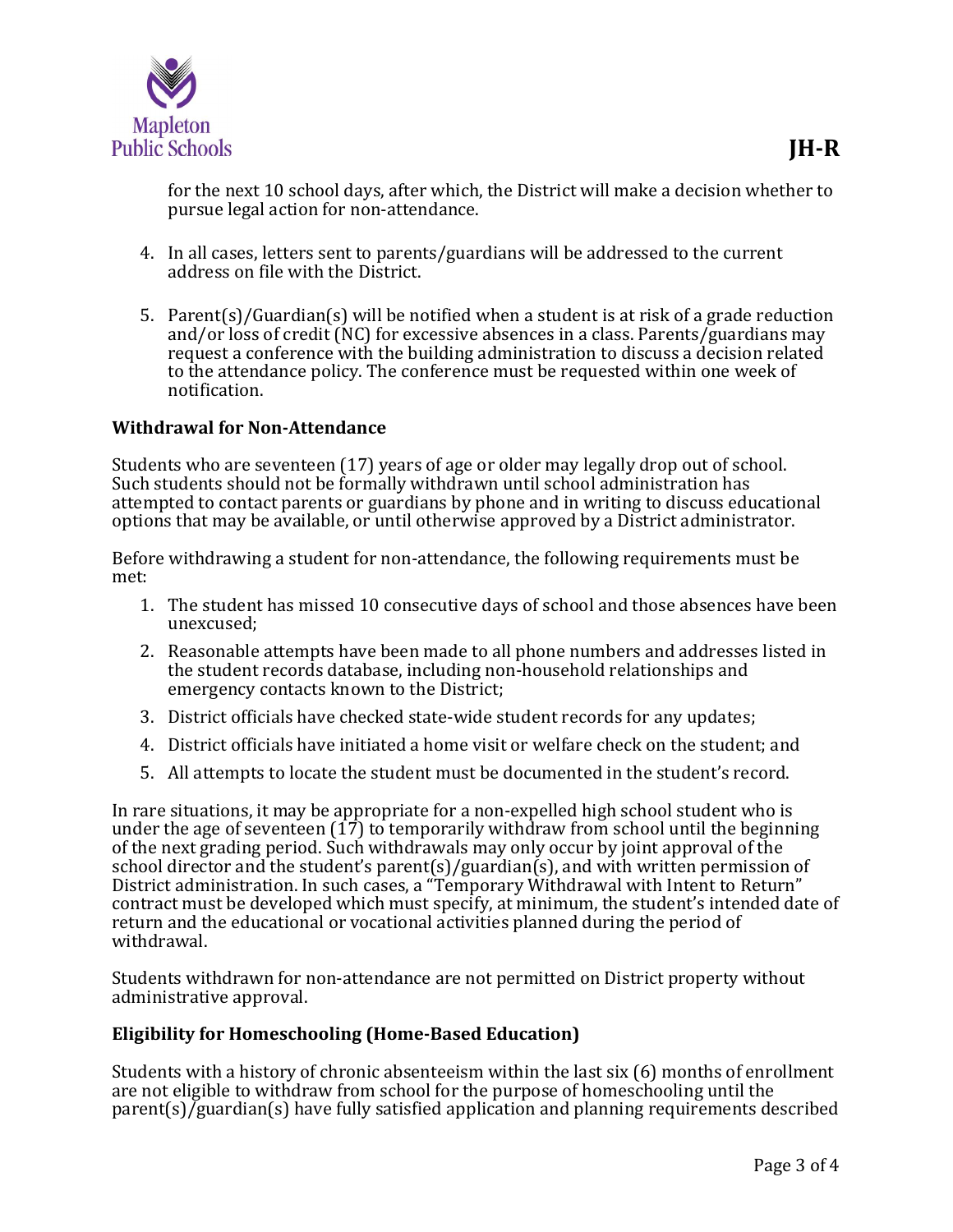

- 4. In all cases, letters sent to parents/guardians will be addressed to the current address on file with the District.
- 5. Parent(s)/Guardian(s) will be notified when a student is at risk of a grade reduction and/or loss of credit (NC) for excessive absences in a class. Parents/guardians may request a conference with the building administration to discuss a decision related to the attendance policy. The conference must be requested within one week of notification.

### Withdrawal for Non-Attendance

Students who are seventeen (17) years of age or older may legally drop out of school. Such students should not be formally withdrawn until school administration has attempted to contact parents or guardians by phone and in writing to discuss educational options that may be available, or until otherwise approved by a District administrator.

Before withdrawing a student for non-attendance, the following requirements must be met:

- 1. The student has missed 10 consecutive days of school and those absences have been unexcused;
- 2. Reasonable attempts have been made to all phone numbers and addresses listed in the student records database, including non-household relationships and emergency contacts known to the District;
- 3. District officials have checked state-wide student records for any updates;
- 4. District officials have initiated a home visit or welfare check on the student; and
- 5. All attempts to locate the student must be documented in the student's record.

In rare situations, it may be appropriate for a non-expelled high school student who is under the age of seventeen  $(17)$  to temporarily withdraw from school until the beginning of the next grading period. Such withdrawals may only occur by joint approval of the school director and the student's parent(s)/guardian(s), and with written permission of District administration. In such cases, a "Temporary Withdrawal with Intent to Return" contract must be developed which must specify, at minimum, the student's intended date of return and the educational or vocational activities planned during the period of withdrawal.

Students withdrawn for non-attendance are not permitted on District property without administrative approval.

#### Eligibility for Homeschooling (Home-Based Education)

Students with a history of chronic absenteeism within the last six (6) months of enrollment are not eligible to withdraw from school for the purpose of homeschooling until the parent(s)/guardian(s) have fully satisfied application and planning requirements described